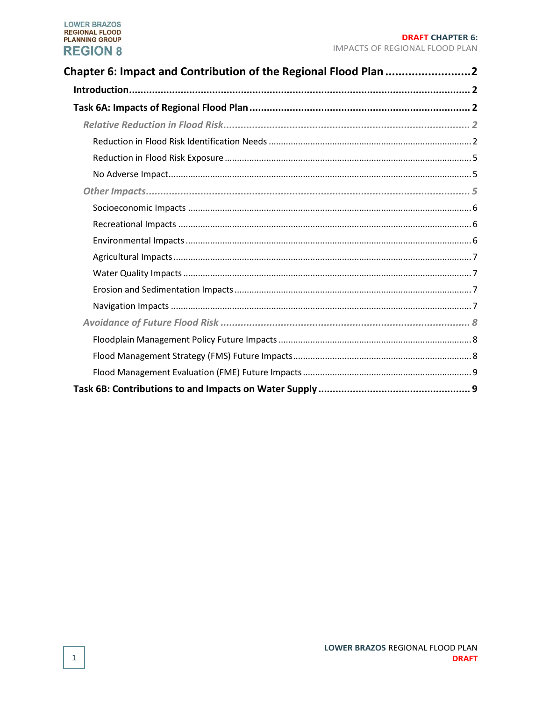| Chapter 6: Impact and Contribution of the Regional Flood Plan 2 |  |
|-----------------------------------------------------------------|--|
|                                                                 |  |
|                                                                 |  |
|                                                                 |  |
|                                                                 |  |
|                                                                 |  |
|                                                                 |  |
|                                                                 |  |
|                                                                 |  |
|                                                                 |  |
|                                                                 |  |
|                                                                 |  |
|                                                                 |  |
|                                                                 |  |
|                                                                 |  |
|                                                                 |  |
|                                                                 |  |
|                                                                 |  |
|                                                                 |  |
|                                                                 |  |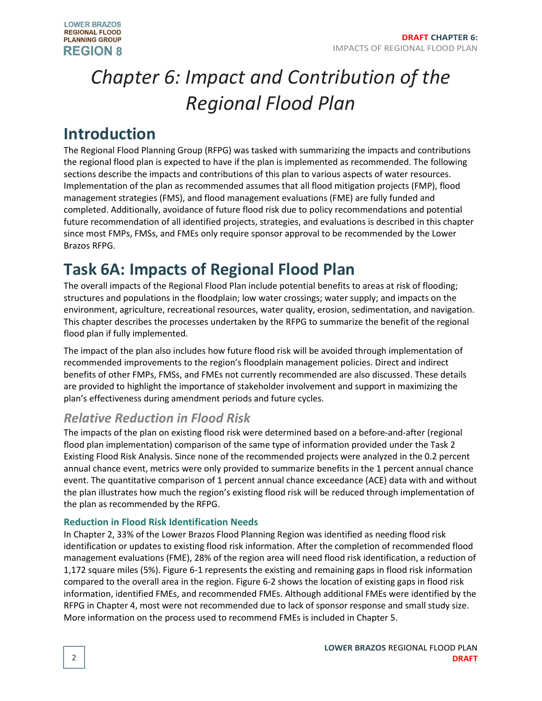

# <span id="page-1-0"></span>*Chapter 6: Impact and Contribution of the Regional Flood Plan*

### <span id="page-1-1"></span>**Introduction**

The Regional Flood Planning Group (RFPG) was tasked with summarizing the impacts and contributions the regional flood plan is expected to have if the plan is implemented as recommended. The following sections describe the impacts and contributions of this plan to various aspects of water resources. Implementation of the plan as recommended assumes that all flood mitigation projects (FMP), flood management strategies (FMS), and flood management evaluations (FME) are fully funded and completed. Additionally, avoidance of future flood risk due to policy recommendations and potential future recommendation of all identified projects, strategies, and evaluations is described in this chapter since most FMPs, FMSs, and FMEs only require sponsor approval to be recommended by the Lower Brazos RFPG.

## <span id="page-1-2"></span>**Task 6A: Impacts of Regional Flood Plan**

The overall impacts of the Regional Flood Plan include potential benefits to areas at risk of flooding; structures and populations in the floodplain; low water crossings; water supply; and impacts on the environment, agriculture, recreational resources, water quality, erosion, sedimentation, and navigation. This chapter describes the processes undertaken by the RFPG to summarize the benefit of the regional flood plan if fully implemented.

The impact of the plan also includes how future flood risk will be avoided through implementation of recommended improvements to the region's floodplain management policies. Direct and indirect benefits of other FMPs, FMSs, and FMEs not currently recommended are also discussed. These details are provided to highlight the importance of stakeholder involvement and support in maximizing the plan's effectiveness during amendment periods and future cycles.

### <span id="page-1-3"></span>*Relative Reduction in Flood Risk*

The impacts of the plan on existing flood risk were determined based on a before-and-after (regional flood plan implementation) comparison of the same type of information provided under the Task 2 Existing Flood Risk Analysis. Since none of the recommended projects were analyzed in the 0.2 percent annual chance event, metrics were only provided to summarize benefits in the 1 percent annual chance event. The quantitative comparison of 1 percent annual chance exceedance (ACE) data with and without the plan illustrates how much the region's existing flood risk will be reduced through implementation of the plan as recommended by the RFPG.

#### <span id="page-1-4"></span>**Reduction in Flood Risk Identification Needs**

In Chapter 2, 33% of the Lower Brazos Flood Planning Region was identified as needing flood risk identification or updates to existing flood risk information. After the completion of recommended flood management evaluations (FME), 28% of the region area will need flood risk identification, a reduction of 1,172 square miles (5%). [Figure 6-1](#page-2-0) represents the existing and remaining gaps in flood risk information compared to the overall area in the region[. Figure 6-2](#page-3-0) shows the location of existing gaps in flood risk information, identified FMEs, and recommended FMEs. Although additional FMEs were identified by the RFPG in Chapter 4, most were not recommended due to lack of sponsor response and small study size. More information on the process used to recommend FMEs is included in Chapter 5.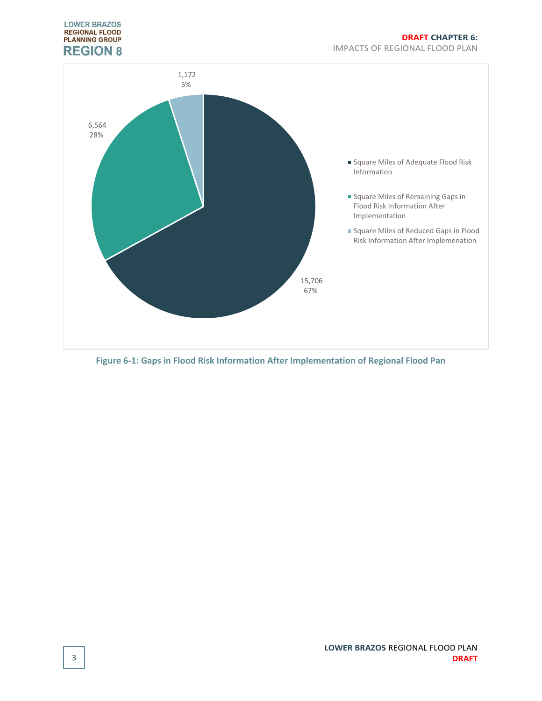

<span id="page-2-0"></span>**Figure 6-1: Gaps in Flood Risk Information After Implementation of Regional Flood Pan**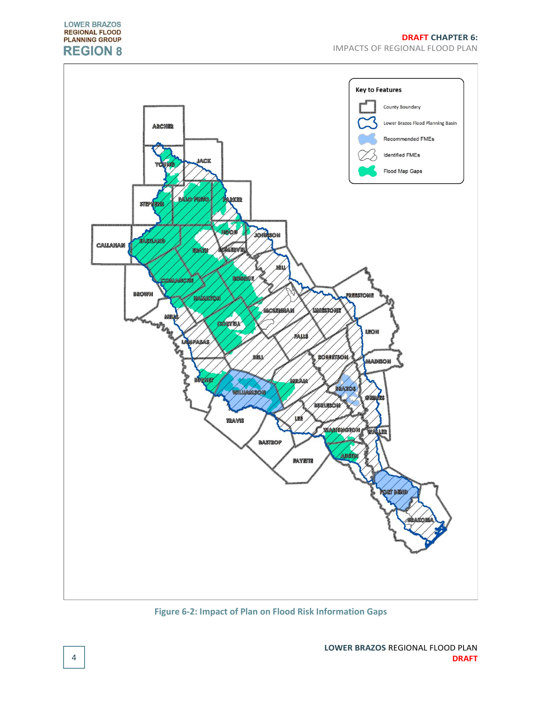

<span id="page-3-0"></span>**Figure 6-2: Impact of Plan on Flood Risk Information Gaps**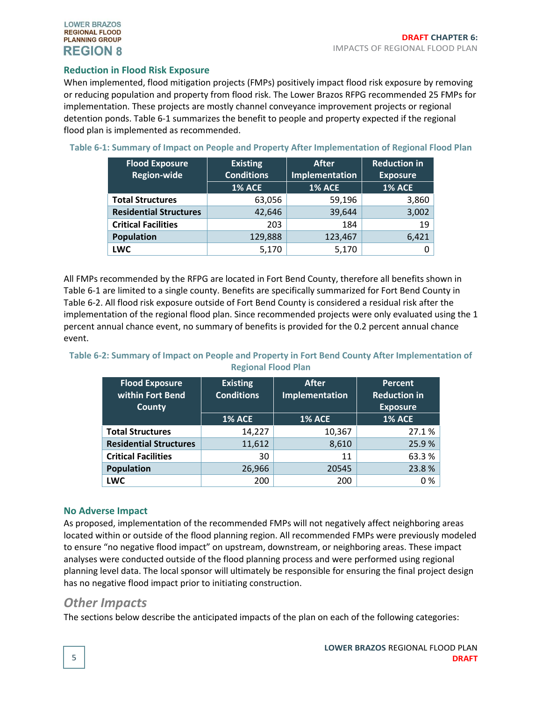#### <span id="page-4-0"></span>**Reduction in Flood Risk Exposure**

When implemented, flood mitigation projects (FMPs) positively impact flood risk exposure by removing or reducing population and property from flood risk. The Lower Brazos RFPG recommended 25 FMPs for implementation. These projects are mostly channel conveyance improvement projects or regional detention ponds. [Table 6-1](#page-4-3) summarizes the benefit to people and property expected if the regional flood plan is implemented as recommended.

<span id="page-4-3"></span>

|  |  | Table 6-1: Summary of Impact on People and Property After Implementation of Regional Flood Plan |  |
|--|--|-------------------------------------------------------------------------------------------------|--|
|--|--|-------------------------------------------------------------------------------------------------|--|

| <b>Flood Exposure</b>         | <b>Existing</b>   | <b>After</b>   | <b>Reduction in</b> |
|-------------------------------|-------------------|----------------|---------------------|
| <b>Region-wide</b>            | <b>Conditions</b> | Implementation | <b>Exposure</b>     |
|                               | <b>1% ACE</b>     | <b>1% ACE</b>  | <b>1% ACE</b>       |
| <b>Total Structures</b>       | 63,056            | 59,196         | 3,860               |
| <b>Residential Structures</b> | 42,646            | 39,644         | 3,002               |
| <b>Critical Facilities</b>    | 203               | 184            | 19                  |
| <b>Population</b>             | 129,888           | 123,467        | 6,421               |
| <b>LWC</b>                    | 5,170             | 5,170          | O                   |

All FMPs recommended by the RFPG are located in Fort Bend County, therefore all benefits shown in [Table 6-1](#page-4-3) are limited to a single county. Benefits are specifically summarized for Fort Bend County in [Table 6-2.](#page-4-4) All flood risk exposure outside of Fort Bend County is considered a residual risk after the implementation of the regional flood plan. Since recommended projects were only evaluated using the 1 percent annual chance event, no summary of benefits is provided for the 0.2 percent annual chance event.

#### <span id="page-4-4"></span>**Table 6-2: Summary of Impact on People and Property in Fort Bend County After Implementation of Regional Flood Plan**

| <b>Flood Exposure</b><br><b>within Fort Bend</b><br><b>County</b> | <b>Existing</b><br><b>Conditions</b> | <b>After</b><br>Implementation | <b>Percent</b><br><b>Reduction in</b><br><b>Exposure</b> |
|-------------------------------------------------------------------|--------------------------------------|--------------------------------|----------------------------------------------------------|
|                                                                   | <b>1% ACE</b>                        | <b>1% ACE</b>                  | <b>1% ACE</b>                                            |
| <b>Total Structures</b>                                           | 14,227                               | 10,367                         | 27.1%                                                    |
| <b>Residential Structures</b>                                     | 11,612                               | 8,610                          | 25.9%                                                    |
| <b>Critical Facilities</b>                                        | 30                                   | 11                             | 63.3%                                                    |
| <b>Population</b>                                                 | 26,966                               | 20545                          | 23.8%                                                    |
| <b>LWC</b>                                                        | 200                                  | 200                            | 0 %                                                      |

#### <span id="page-4-1"></span>**No Adverse Impact**

As proposed, implementation of the recommended FMPs will not negatively affect neighboring areas located within or outside of the flood planning region. All recommended FMPs were previously modeled to ensure "no negative flood impact" on upstream, downstream, or neighboring areas. These impact analyses were conducted outside of the flood planning process and were performed using regional planning level data. The local sponsor will ultimately be responsible for ensuring the final project design has no negative flood impact prior to initiating construction.

#### <span id="page-4-2"></span>*Other Impacts*

The sections below describe the anticipated impacts of the plan on each of the following categories: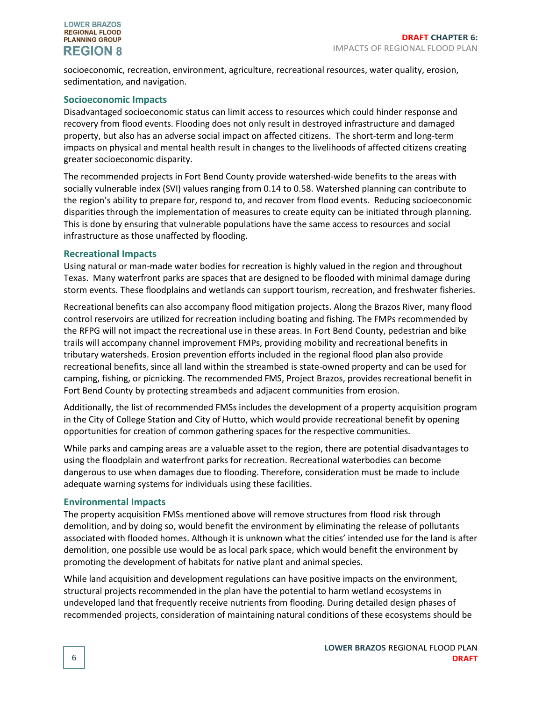socioeconomic, recreation, environment, agriculture, recreational resources, water quality, erosion, sedimentation, and navigation.

#### <span id="page-5-0"></span>**Socioeconomic Impacts**

Disadvantaged socioeconomic status can limit access to resources which could hinder response and recovery from flood events. Flooding does not only result in destroyed infrastructure and damaged property, but also has an adverse social impact on affected citizens. The short-term and long-term impacts on physical and mental health result in changes to the livelihoods of affected citizens creating greater socioeconomic disparity.

The recommended projects in Fort Bend County provide watershed-wide benefits to the areas with socially vulnerable index (SVI) values ranging from 0.14 to 0.58. Watershed planning can contribute to the region's ability to prepare for, respond to, and recover from flood events. Reducing socioeconomic disparities through the implementation of measures to create equity can be initiated through planning. This is done by ensuring that vulnerable populations have the same access to resources and social infrastructure as those unaffected by flooding.

#### <span id="page-5-1"></span>**Recreational Impacts**

Using natural or man-made water bodies for recreation is highly valued in the region and throughout Texas. Many waterfront parks are spaces that are designed to be flooded with minimal damage during storm events. These floodplains and wetlands can support tourism, recreation, and freshwater fisheries.

Recreational benefits can also accompany flood mitigation projects. Along the Brazos River, many flood control reservoirs are utilized for recreation including boating and fishing. The FMPs recommended by the RFPG will not impact the recreational use in these areas. In Fort Bend County, pedestrian and bike trails will accompany channel improvement FMPs, providing mobility and recreational benefits in tributary watersheds. Erosion prevention efforts included in the regional flood plan also provide recreational benefits, since all land within the streambed is state-owned property and can be used for camping, fishing, or picnicking. The recommended FMS, Project Brazos, provides recreational benefit in Fort Bend County by protecting streambeds and adjacent communities from erosion.

Additionally, the list of recommended FMSs includes the development of a property acquisition program in the City of College Station and City of Hutto, which would provide recreational benefit by opening opportunities for creation of common gathering spaces for the respective communities.

While parks and camping areas are a valuable asset to the region, there are potential disadvantages to using the floodplain and waterfront parks for recreation. Recreational waterbodies can become dangerous to use when damages due to flooding. Therefore, consideration must be made to include adequate warning systems for individuals using these facilities.

#### <span id="page-5-2"></span>**Environmental Impacts**

The property acquisition FMSs mentioned above will remove structures from flood risk through demolition, and by doing so, would benefit the environment by eliminating the release of pollutants associated with flooded homes. Although it is unknown what the cities' intended use for the land is after demolition, one possible use would be as local park space, which would benefit the environment by promoting the development of habitats for native plant and animal species.

While land acquisition and development regulations can have positive impacts on the environment, structural projects recommended in the plan have the potential to harm wetland ecosystems in undeveloped land that frequently receive nutrients from flooding. During detailed design phases of recommended projects, consideration of maintaining natural conditions of these ecosystems should be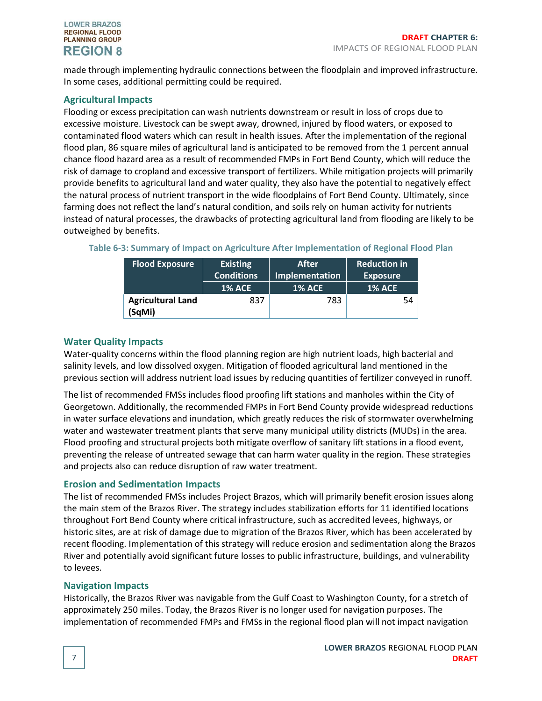made through implementing hydraulic connections between the floodplain and improved infrastructure. In some cases, additional permitting could be required.

#### <span id="page-6-0"></span>**Agricultural Impacts**

Flooding or excess precipitation can wash nutrients downstream or result in loss of crops due to excessive moisture. Livestock can be swept away, drowned, injured by flood waters, or exposed to contaminated flood waters which can result in health issues. After the implementation of the regional flood plan, 86 square miles of agricultural land is anticipated to be removed from the 1 percent annual chance flood hazard area as a result of recommended FMPs in Fort Bend County, which will reduce the risk of damage to cropland and excessive transport of fertilizers. While mitigation projects will primarily provide benefits to agricultural land and water quality, they also have the potential to negatively effect the natural process of nutrient transport in the wide floodplains of Fort Bend County. Ultimately, since farming does not reflect the land's natural condition, and soils rely on human activity for nutrients instead of natural processes, the drawbacks of protecting agricultural land from flooding are likely to be outweighed by benefits.

| <b>Flood Exposure</b>    | <b>Existing</b>   | <b>After</b>          | <b>Reduction in</b> |
|--------------------------|-------------------|-----------------------|---------------------|
|                          | <b>Conditions</b> | <b>Implementation</b> | <b>Exposure</b>     |
|                          | <b>1% ACE</b>     | <b>1% ACE</b>         | <b>1% ACE</b>       |
| <b>Agricultural Land</b> | 837               | 783                   | 54                  |
| (SqMi)                   |                   |                       |                     |

#### <span id="page-6-1"></span>**Water Quality Impacts**

Water-quality concerns within the flood planning region are high nutrient loads, high bacterial and salinity levels, and low dissolved oxygen. Mitigation of flooded agricultural land mentioned in the previous section will address nutrient load issues by reducing quantities of fertilizer conveyed in runoff.

The list of recommended FMSs includes flood proofing lift stations and manholes within the City of Georgetown. Additionally, the recommended FMPs in Fort Bend County provide widespread reductions in water surface elevations and inundation, which greatly reduces the risk of stormwater overwhelming water and wastewater treatment plants that serve many municipal utility districts (MUDs) in the area. Flood proofing and structural projects both mitigate overflow of sanitary lift stations in a flood event, preventing the release of untreated sewage that can harm water quality in the region. These strategies and projects also can reduce disruption of raw water treatment.

#### <span id="page-6-2"></span>**Erosion and Sedimentation Impacts**

The list of recommended FMSs includes Project Brazos, which will primarily benefit erosion issues along the main stem of the Brazos River. The strategy includes stabilization efforts for 11 identified locations throughout Fort Bend County where critical infrastructure, such as accredited levees, highways, or historic sites, are at risk of damage due to migration of the Brazos River, which has been accelerated by recent flooding. Implementation of this strategy will reduce erosion and sedimentation along the Brazos River and potentially avoid significant future losses to public infrastructure, buildings, and vulnerability to levees.

#### <span id="page-6-3"></span>**Navigation Impacts**

Historically, the Brazos River was navigable from the Gulf Coast to Washington County, for a stretch of approximately 250 miles. Today, the Brazos River is no longer used for navigation purposes. The implementation of recommended FMPs and FMSs in the regional flood plan will not impact navigation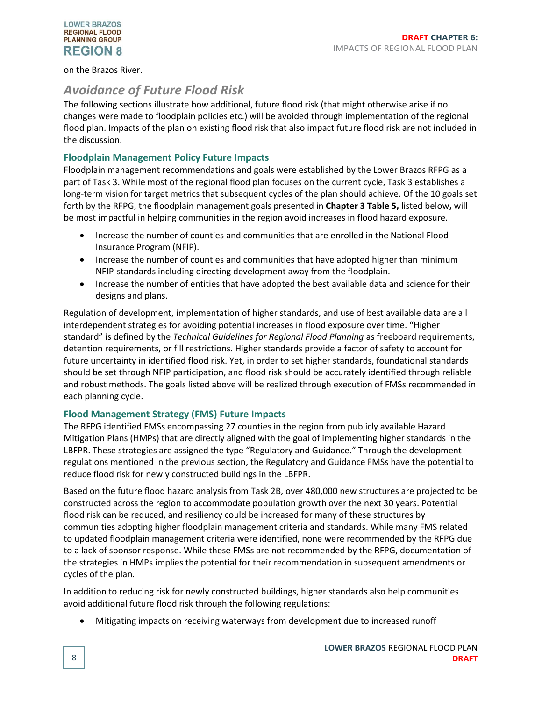#### on the Brazos River.

### <span id="page-7-0"></span>*Avoidance of Future Flood Risk*

The following sections illustrate how additional, future flood risk (that might otherwise arise if no changes were made to floodplain policies etc.) will be avoided through implementation of the regional flood plan. Impacts of the plan on existing flood risk that also impact future flood risk are not included in the discussion.

#### <span id="page-7-1"></span>**Floodplain Management Policy Future Impacts**

Floodplain management recommendations and goals were established by the Lower Brazos RFPG as a part of Task 3. While most of the regional flood plan focuses on the current cycle, Task 3 establishes a long-term vision for target metrics that subsequent cycles of the plan should achieve. Of the 10 goals set forth by the RFPG, the floodplain management goals presented in **Chapter 3 Table 5,** listed below**,** will be most impactful in helping communities in the region avoid increases in flood hazard exposure.

- Increase the number of counties and communities that are enrolled in the National Flood Insurance Program (NFIP).
- Increase the number of counties and communities that have adopted higher than minimum NFIP-standards including directing development away from the floodplain.
- Increase the number of entities that have adopted the best available data and science for their designs and plans.

Regulation of development, implementation of higher standards, and use of best available data are all interdependent strategies for avoiding potential increases in flood exposure over time. "Higher standard" is defined by the *Technical Guidelines for Regional Flood Planning* as freeboard requirements, detention requirements, or fill restrictions. Higher standards provide a factor of safety to account for future uncertainty in identified flood risk. Yet, in order to set higher standards, foundational standards should be set through NFIP participation, and flood risk should be accurately identified through reliable and robust methods. The goals listed above will be realized through execution of FMSs recommended in each planning cycle.

#### <span id="page-7-2"></span>**Flood Management Strategy (FMS) Future Impacts**

The RFPG identified FMSs encompassing 27 counties in the region from publicly available Hazard Mitigation Plans (HMPs) that are directly aligned with the goal of implementing higher standards in the LBFPR. These strategies are assigned the type "Regulatory and Guidance." Through the development regulations mentioned in the previous section, the Regulatory and Guidance FMSs have the potential to reduce flood risk for newly constructed buildings in the LBFPR.

Based on the future flood hazard analysis from Task 2B, over 480,000 new structures are projected to be constructed across the region to accommodate population growth over the next 30 years. Potential flood risk can be reduced, and resiliency could be increased for many of these structures by communities adopting higher floodplain management criteria and standards. While many FMS related to updated floodplain management criteria were identified, none were recommended by the RFPG due to a lack of sponsor response. While these FMSs are not recommended by the RFPG, documentation of the strategies in HMPs implies the potential for their recommendation in subsequent amendments or cycles of the plan.

In addition to reducing risk for newly constructed buildings, higher standards also help communities avoid additional future flood risk through the following regulations:

• Mitigating impacts on receiving waterways from development due to increased runoff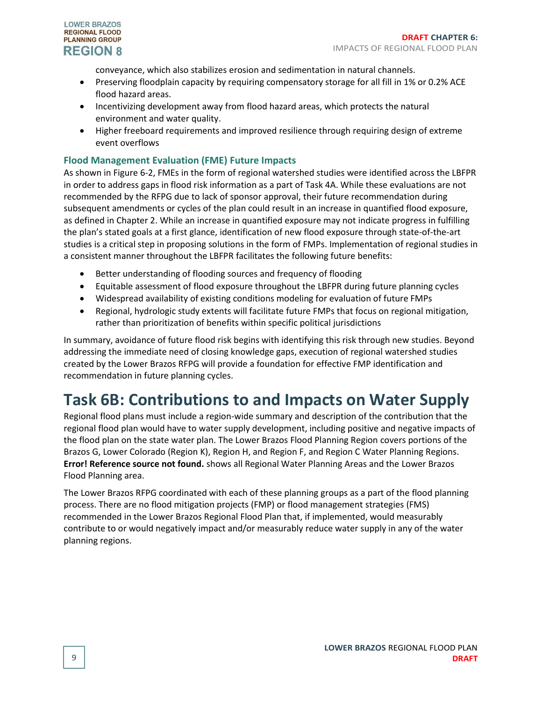

conveyance, which also stabilizes erosion and sedimentation in natural channels.

- Preserving floodplain capacity by requiring compensatory storage for all fill in 1% or 0.2% ACE flood hazard areas.
- Incentivizing development away from flood hazard areas, which protects the natural environment and water quality.
- Higher freeboard requirements and improved resilience through requiring design of extreme event overflows

#### <span id="page-8-0"></span>**Flood Management Evaluation (FME) Future Impacts**

As shown in [Figure 6-2,](#page-3-0) FMEs in the form of regional watershed studies were identified across the LBFPR in order to address gaps in flood risk information as a part of Task 4A. While these evaluations are not recommended by the RFPG due to lack of sponsor approval, their future recommendation during subsequent amendments or cycles of the plan could result in an increase in quantified flood exposure, as defined in Chapter 2. While an increase in quantified exposure may not indicate progress in fulfilling the plan's stated goals at a first glance, identification of new flood exposure through state-of-the-art studies is a critical step in proposing solutions in the form of FMPs. Implementation of regional studies in a consistent manner throughout the LBFPR facilitates the following future benefits:

- Better understanding of flooding sources and frequency of flooding
- Equitable assessment of flood exposure throughout the LBFPR during future planning cycles
- Widespread availability of existing conditions modeling for evaluation of future FMPs
- Regional, hydrologic study extents will facilitate future FMPs that focus on regional mitigation, rather than prioritization of benefits within specific political jurisdictions

In summary, avoidance of future flood risk begins with identifying this risk through new studies. Beyond addressing the immediate need of closing knowledge gaps, execution of regional watershed studies created by the Lower Brazos RFPG will provide a foundation for effective FMP identification and recommendation in future planning cycles.

### <span id="page-8-1"></span>**Task 6B: Contributions to and Impacts on Water Supply**

Regional flood plans must include a region-wide summary and description of the contribution that the regional flood plan would have to water supply development, including positive and negative impacts of the flood plan on the state water plan. The Lower Brazos Flood Planning Region covers portions of the Brazos G, Lower Colorado (Region K), Region H, and Region F, and Region C Water Planning Regions. **Error! Reference source not found.** shows all Regional Water Planning Areas and the Lower Brazos Flood Planning area.

The Lower Brazos RFPG coordinated with each of these planning groups as a part of the flood planning process. There are no flood mitigation projects (FMP) or flood management strategies (FMS) recommended in the Lower Brazos Regional Flood Plan that, if implemented, would measurably contribute to or would negatively impact and/or measurably reduce water supply in any of the water planning regions.